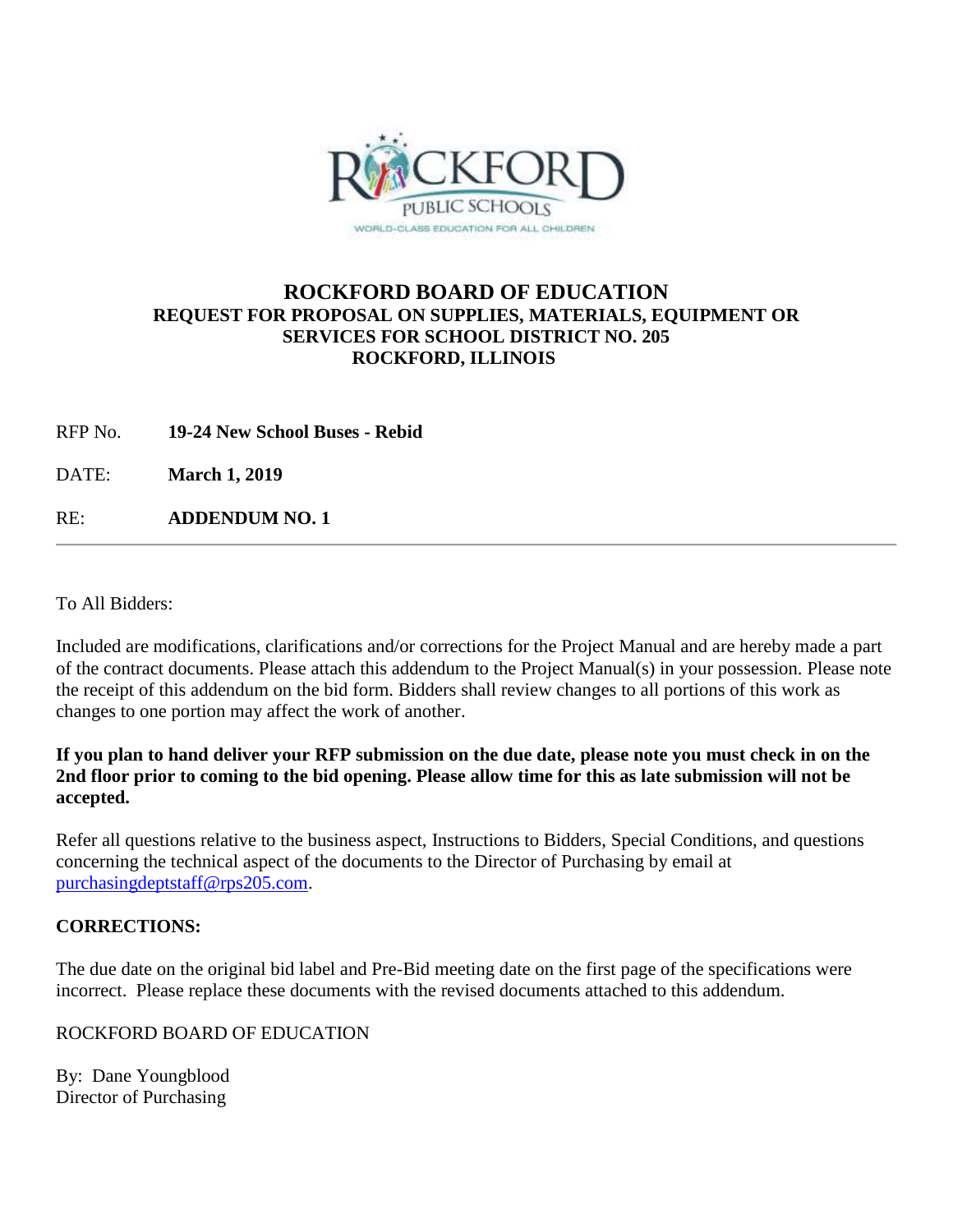

### **ROCKFORD BOARD OF EDUCATION REQUEST FOR PROPOSAL ON SUPPLIES, MATERIALS, EQUIPMENT OR SERVICES FOR SCHOOL DISTRICT NO. 205 ROCKFORD, ILLINOIS**

RFP No. **19-24 New School Buses - Rebid**

DATE: **March 1, 2019**

RE: **ADDENDUM NO. 1**

To All Bidders:

Included are modifications, clarifications and/or corrections for the Project Manual and are hereby made a part of the contract documents. Please attach this addendum to the Project Manual(s) in your possession. Please note the receipt of this addendum on the bid form. Bidders shall review changes to all portions of this work as changes to one portion may affect the work of another.

### **If you plan to hand deliver your RFP submission on the due date, please note you must check in on the 2nd floor prior to coming to the bid opening. Please allow time for this as late submission will not be accepted.**

Refer all questions relative to the business aspect, Instructions to Bidders, Special Conditions, and questions concerning the technical aspect of the documents to the Director of Purchasing by email at [purchasingdeptstaff@rps205.com.](mailto:purchasingdeptstaff@rps205.com)

### **CORRECTIONS:**

The due date on the original bid label and Pre-Bid meeting date on the first page of the specifications were incorrect. Please replace these documents with the revised documents attached to this addendum.

### ROCKFORD BOARD OF EDUCATION

By: Dane Youngblood Director of Purchasing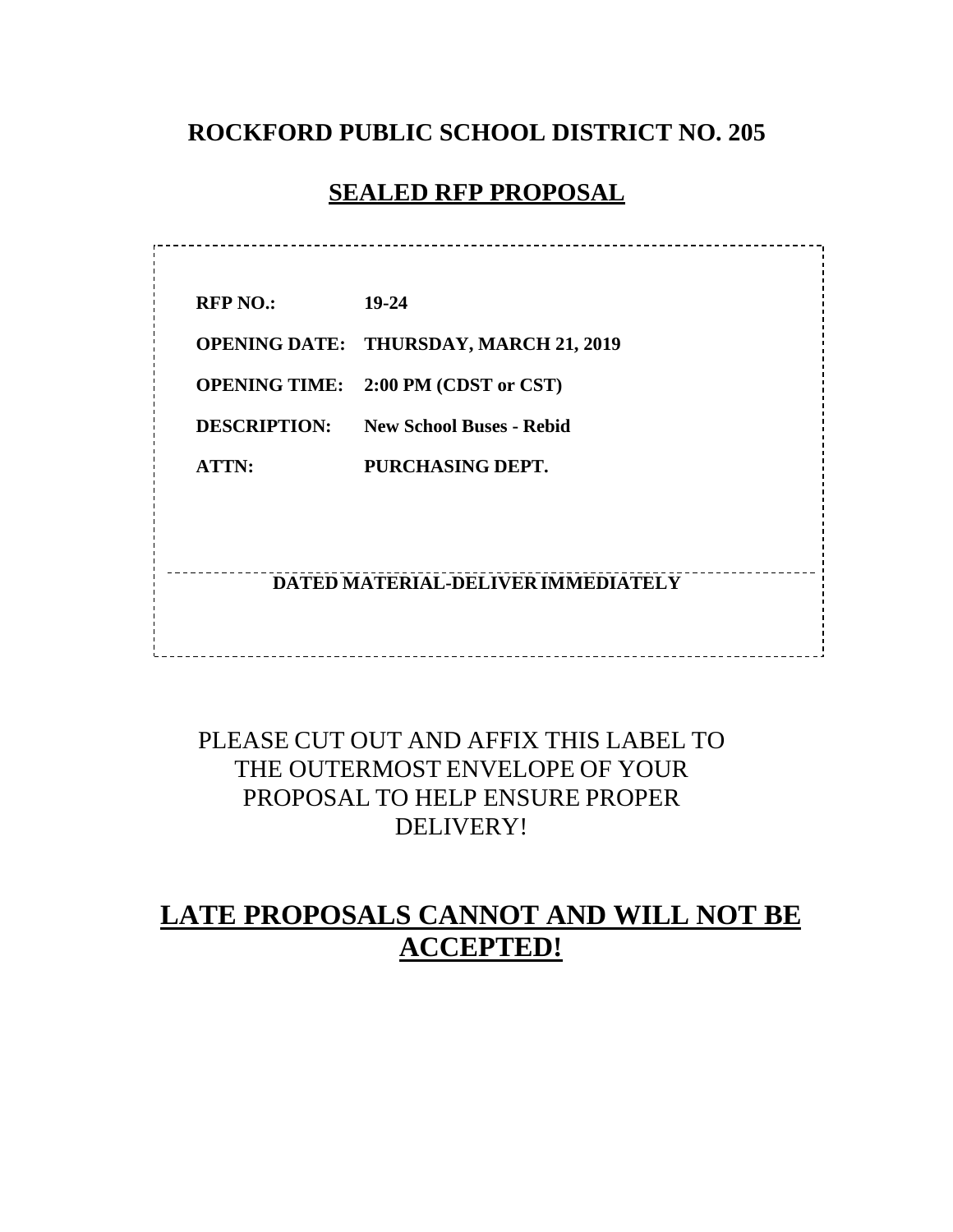## **ROCKFORD PUBLIC SCHOOL DISTRICT NO. 205**

### **SEALED RFP PROPOSAL**

. \_ \_ \_ \_ \_ \_ \_ \_ \_ \_ \_ \_ \_ \_ \_ \_

**RFP NO.: 19-24 OPENING DATE: THURSDAY, MARCH 21, 2019 OPENING TIME: 2:00 PM (CDST or CST) DESCRIPTION: New School Buses - Rebid ATTN: PURCHASING DEPT.**

### **DATED MATERIAL-DELIVER IMMEDIATELY**

# PLEASE CUT OUT AND AFFIX THIS LABEL TO THE OUTERMOST ENVELOPE OF YOUR PROPOSAL TO HELP ENSURE PROPER DELIVERY!

# **LATE PROPOSALS CANNOT AND WILL NOT BE ACCEPTED!**